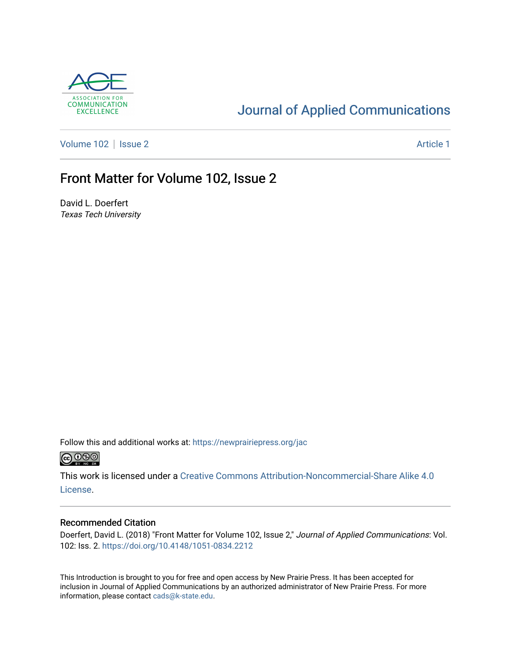

#### [Journal of Applied Communications](https://newprairiepress.org/jac)

[Volume 102](https://newprairiepress.org/jac/vol102) | [Issue 2](https://newprairiepress.org/jac/vol102/iss2) Article 1

#### Front Matter for Volume 102, Issue 2

David L. Doerfert Texas Tech University

Follow this and additional works at: [https://newprairiepress.org/jac](https://newprairiepress.org/jac?utm_source=newprairiepress.org%2Fjac%2Fvol102%2Fiss2%2F1&utm_medium=PDF&utm_campaign=PDFCoverPages)  $\bigcirc$  0.90

This work is licensed under a [Creative Commons Attribution-Noncommercial-Share Alike 4.0](https://creativecommons.org/licenses/by-nc-sa/4.0/) [License.](https://creativecommons.org/licenses/by-nc-sa/4.0/)

#### Recommended Citation

Doerfert, David L. (2018) "Front Matter for Volume 102, Issue 2," Journal of Applied Communications: Vol. 102: Iss. 2. <https://doi.org/10.4148/1051-0834.2212>

This Introduction is brought to you for free and open access by New Prairie Press. It has been accepted for inclusion in Journal of Applied Communications by an authorized administrator of New Prairie Press. For more information, please contact [cads@k-state.edu](mailto:cads@k-state.edu).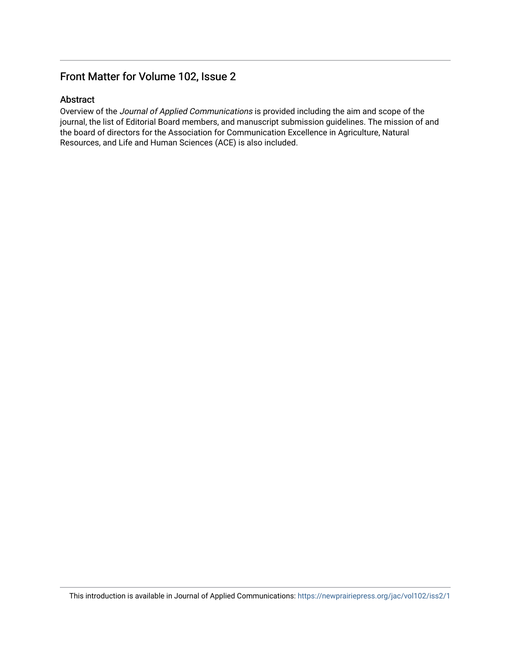#### Front Matter for Volume 102, Issue 2

#### Abstract

Overview of the Journal of Applied Communications is provided including the aim and scope of the journal, the list of Editorial Board members, and manuscript submission guidelines. The mission of and the board of directors for the Association for Communication Excellence in Agriculture, Natural Resources, and Life and Human Sciences (ACE) is also included.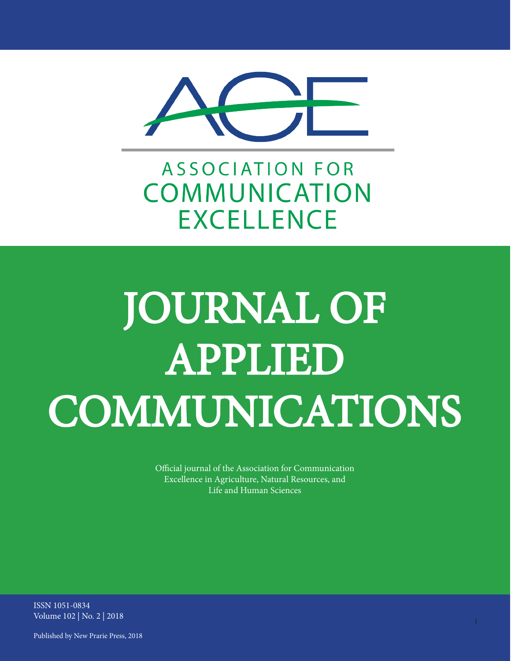

**ASSOCIATION FOR** COMMUNICATION **EXCELLENCE** 

# JOURNAL OF APPLIED COMMUNICATIONS

Official journal of the Association for Communication Excellence in Agriculture, Natural Resources, and Life and Human Sciences

ISSN 1051-0834 Volume 102 | No. 2 | 2018

Published by New Prarie Press, 2018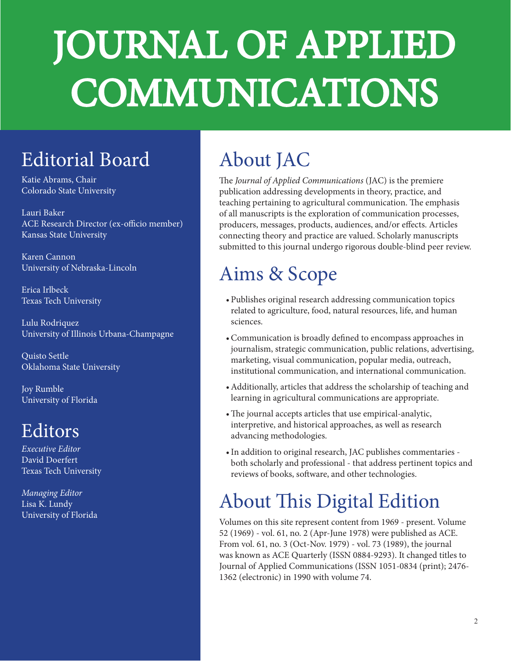# JOURNAL OF APPLIED COMMUNICATIONS

## Editorial Board

Katie Abrams, Chair Colorado State University

Lauri Baker ACE Research Director (ex-officio member) Kansas State University

Karen Cannon University of Nebraska-Lincoln

Erica Irlbeck Texas Tech University

Lulu Rodriquez University of Illinois Urbana-Champagne

Quisto Settle Oklahoma State University

Joy Rumble University of Florida

#### Editors

*Executive Editor* David Doerfert Texas Tech University

*Managing Editor*  Lisa K. Lundy University of Florida

# About JAC

The *Journal of Applied Communications* (JAC) is the premiere publication addressing developments in theory, practice, and teaching pertaining to agricultural communication. The emphasis of all manuscripts is the exploration of communication processes, producers, messages, products, audiences, and/or effects. Articles connecting theory and practice are valued. Scholarly manuscripts submitted to this journal undergo rigorous double-blind peer review.

## Aims & Scope

- Publishes original research addressing communication topics related to agriculture, food, natural resources, life, and human sciences.
- •Communication is broadly defined to encompass approaches in journalism, strategic communication, public relations, advertising, marketing, visual communication, popular media, outreach, institutional communication, and international communication.
- •Additionally, articles that address the scholarship of teaching and learning in agricultural communications are appropriate.
- •The journal accepts articles that use empirical-analytic, interpretive, and historical approaches, as well as research advancing methodologies.
- •In addition to original research, JAC publishes commentaries both scholarly and professional - that address pertinent topics and reviews of books, software, and other technologies.

## About This Digital Edition

Volumes on this site represent content from 1969 - present. Volume 52 (1969) - vol. 61, no. 2 (Apr-June 1978) were published as ACE. From vol. 61, no. 3 (Oct-Nov. 1979) - vol. 73 (1989), the journal was known as ACE Quarterly (ISSN 0884-9293). It changed titles to Journal of Applied Communications (ISSN 1051-0834 (print); 2476- 1362 (electronic) in 1990 with volume 74.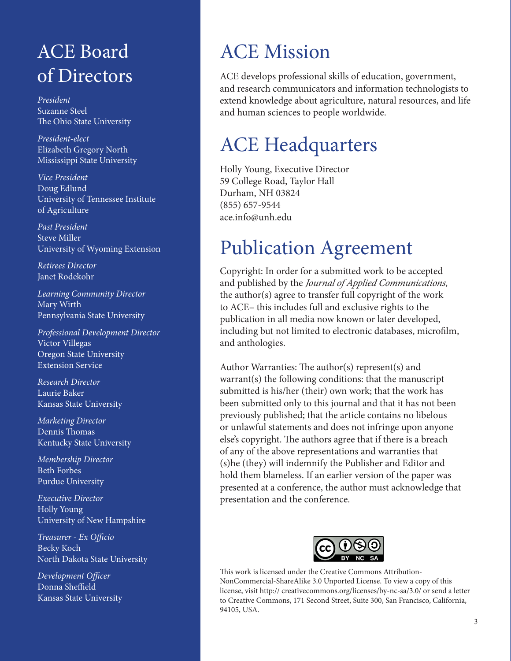#### ACE Board of Directors

*President* Suzanne Steel The Ohio State University

*President-elect* Elizabeth Gregory North Mississippi State University

*Vice President* Doug Edlund University of Tennessee Institute of Agriculture

*Past President* Steve Miller University of Wyoming Extension

*Retirees Director* Janet Rodekohr

*Learning Community Director* Mary Wirth Pennsylvania State University

*Professional Development Director* Victor Villegas Oregon State University Extension Service

*Research Director* Laurie Baker Kansas State University

*Marketing Director* Dennis Thomas Kentucky State University

*Membership Director* Beth Forbes Purdue University

*Executive Director* Holly Young University of New Hampshire

*Treasurer - Ex Officio* Becky Koch North Dakota State University

*Development Officer* Donna Sheffield Kansas State University

### ACE Mission

ACE develops professional skills of education, government, and research communicators and information technologists to extend knowledge about agriculture, natural resources, and life and human sciences to people worldwide.

#### ACE Headquarters

Holly Young, Executive Director 59 College Road, Taylor Hall Durham, NH 03824 (855) 657-9544 ace.info@unh.edu

### Publication Agreement

Copyright: In order for a submitted work to be accepted and published by the *Journal of Applied Communications*, the author(s) agree to transfer full copyright of the work to ACE– this includes full and exclusive rights to the publication in all media now known or later developed, including but not limited to electronic databases, microfilm, and anthologies.

Author Warranties: The author(s) represent(s) and warrant(s) the following conditions: that the manuscript submitted is his/her (their) own work; that the work has been submitted only to this journal and that it has not been previously published; that the article contains no libelous or unlawful statements and does not infringe upon anyone else's copyright. The authors agree that if there is a breach of any of the above representations and warranties that (s)he (they) will indemnify the Publisher and Editor and hold them blameless. If an earlier version of the paper was presented at a conference, the author must acknowledge that presentation and the conference.



This work is licensed under the Creative Commons Attribution-NonCommercial-ShareAlike 3.0 Unported License. To view a copy of this license, visit http:// creativecommons.org/licenses/by-nc-sa/3.0/ or send a letter to Creative Commons, 171 Second Street, Suite 300, San Francisco, California, 94105, USA.